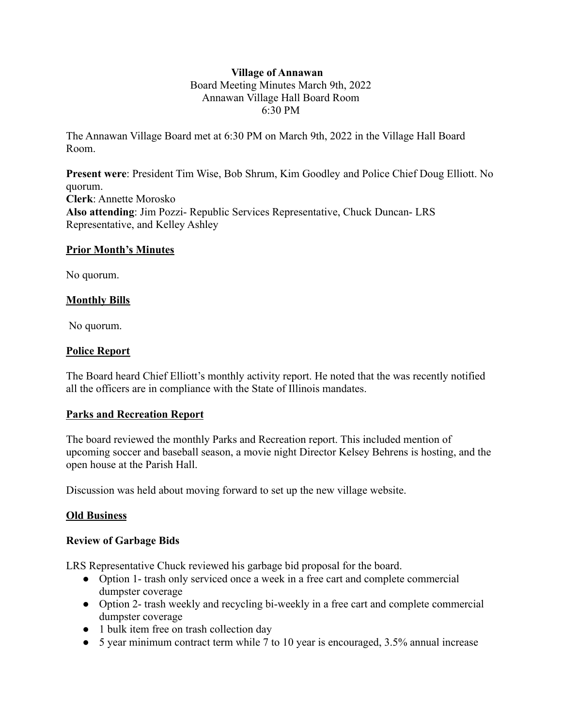# **Village of Annawan** Board Meeting Minutes March 9th, 2022 Annawan Village Hall Board Room 6:30 PM

The Annawan Village Board met at 6:30 PM on March 9th, 2022 in the Village Hall Board Room.

**Present were**: President Tim Wise, Bob Shrum, Kim Goodley and Police Chief Doug Elliott. No quorum. **Clerk**: Annette Morosko **Also attending**: Jim Pozzi- Republic Services Representative, Chuck Duncan- LRS Representative, and Kelley Ashley

## **Prior Month's Minutes**

No quorum.

## **Monthly Bills**

No quorum.

## **Police Report**

The Board heard Chief Elliott's monthly activity report. He noted that the was recently notified all the officers are in compliance with the State of Illinois mandates.

#### **Parks and Recreation Report**

The board reviewed the monthly Parks and Recreation report. This included mention of upcoming soccer and baseball season, a movie night Director Kelsey Behrens is hosting, and the open house at the Parish Hall.

Discussion was held about moving forward to set up the new village website.

#### **Old Business**

#### **Review of Garbage Bids**

LRS Representative Chuck reviewed his garbage bid proposal for the board.

- Option 1- trash only serviced once a week in a free cart and complete commercial dumpster coverage
- Option 2- trash weekly and recycling bi-weekly in a free cart and complete commercial dumpster coverage
- 1 bulk item free on trash collection day
- 5 year minimum contract term while 7 to 10 year is encouraged, 3.5% annual increase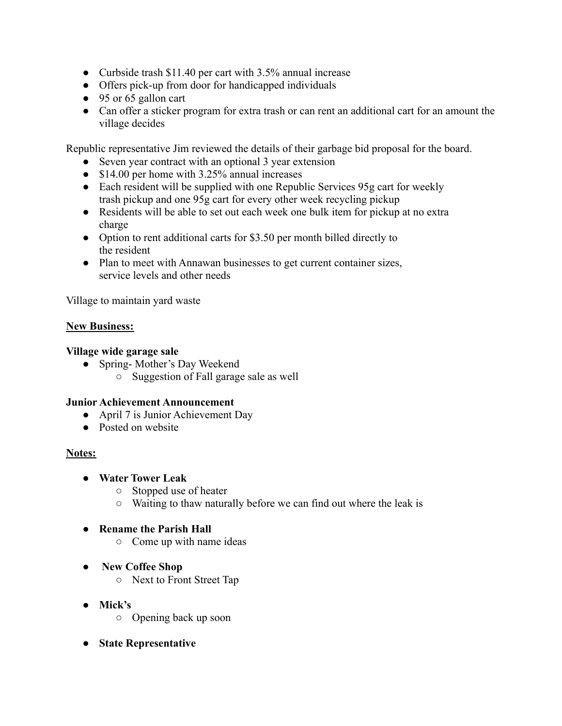- Curbside trash \$11.40 per cart with 3.5% annual increase
- Offers pick-up from door for handicapped individuals
- 95 or 65 gallon cart
- Can offer a sticker program for extra trash or can rent an additional cart for an amount the village decides

Republic representative Jim reviewed the details of their garbage bid proposal for the board.

- Seven year contract with an optional 3 year extension
- \$14.00 per home with 3.25% annual increases
- Each resident will be supplied with one Republic Services 95g cart for weekly trash pickup and one 95g cart for every other week recycling pickup
- Residents will be able to set out each week one bulk item for pickup at no extra charge
- Option to rent additional carts for \$3.50 per month billed directly to the resident
- Plan to meet with Annawan businesses to get current container sizes, service levels and other needs

Village to maintain yard waste

## **New Business:**

## **Village wide garage sale**

- Spring-Mother's Day Weekend
	- Suggestion of Fall garage sale as well

#### **Junior Achievement Announcement**

- April 7 is Junior Achievement Day
- Posted on website

# **Notes:**

- **● Water Tower Leak**
	- Stopped use of heater
	- Waiting to thaw naturally before we can find out where the leak is

# **● Rename the Parish Hall**

- Come up with name ideas
- **New Coffee Shop**
	- Next to Front Street Tap
- **● Mick's**
	- Opening back up soon
- **● State Representative**